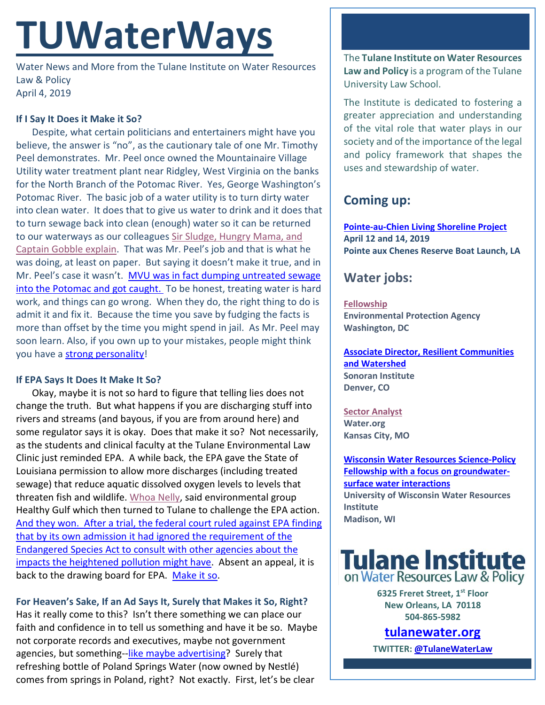# **TUWaterWays**

Water News and More from the Tulane Institute on Water Resources Law & Policy April 4, 2019

#### **If I Say It Does it Make it So?**

Despite, what certain politicians and entertainers might have you believe, the answer is "no", as the cautionary tale of one Mr. Timothy Peel demonstrates. Mr. Peel once owned the Mountainaire Village Utility water treatment plant near Ridgley, West Virginia on the banks for the North Branch of the Potomac River. Yes, George Washington's Potomac River. The basic job of a water utility is to turn dirty water into clean water. It does that to give us water to drink and it does that to turn sewage back into clean (enough) water so it can be returned to our waterways as our colleagues [Sir Sludge, Hungry Mama, and](https://www.youtube.com/watch?v=8isr9nSDCK4)  [Captain Gobble explain.](https://www.youtube.com/watch?v=8isr9nSDCK4) That was Mr. Peel's job and that is what he was doing, at least on paper. But saying it doesn't make it true, and in Mr. Peel's case it wasn't. [MVU was in fact dumping untreated sewage](https://magicvalley.com/news/national/ex-water-plant-owner-admits-discharging-sewage-into-potomac/article_196bac46-8a5e-5840-8525-cdaad76a5f72.html)  [into the Potomac and](https://magicvalley.com/news/national/ex-water-plant-owner-admits-discharging-sewage-into-potomac/article_196bac46-8a5e-5840-8525-cdaad76a5f72.html) got caught. To be honest, treating water is hard work, and things can go wrong. When they do, the right thing to do is admit it and fix it. Because the time you save by fudging the facts is more than offset by the time you might spend in jail. As Mr. Peel may soon learn. Also, if you own up to your mistakes, people might think you have a [strong personality!](https://www.youtube.com/watch?v=6QO2wC-UMLI)

#### **If EPA Says It Does It Make It So?**

Okay, maybe it is not so hard to figure that telling lies does not change the truth. But what happens if you are discharging stuff into rivers and streams (and bayous, if you are from around here) and some regulator says it is okay. Does that make it so? Not necessarily, as the students and clinical faculty at the Tulane Environmental Law Clinic just reminded EPA. A while back, the EPA gave the State of Louisiana permission to allow more discharges (including treated sewage) that reduce aquatic dissolved oxygen levels to levels that threaten fish and wildlife. [Whoa Nelly,](https://www.youtube.com/watch?v=J8_5Isb-hd4) said environmental group Healthy Gulf which then turned to Tulane to challenge the EPA action. [And they won. After a trial, the federal court](https://law.tulane.edu/news/tulane-environmental-law-clinic-wins-major-victory-suit-against-epa) ruled against EPA finding [that by its own admission it had ignored the requirement of the](https://law.tulane.edu/news/tulane-environmental-law-clinic-wins-major-victory-suit-against-epa)  [Endangered Species Act to consult with other agencies about the](https://law.tulane.edu/news/tulane-environmental-law-clinic-wins-major-victory-suit-against-epa)  [impacts the heightened pollution might have.](https://law.tulane.edu/news/tulane-environmental-law-clinic-wins-major-victory-suit-against-epa) Absent an appeal, it is back to the drawing board for EPA. [Make it so.](https://media.giphy.com/media/VLoN2iW8ii3wA/giphy.gif)

**For Heaven's Sake, If an Ad Says It, Surely that Makes it So, Right?** Has it really come to this? Isn't there something we can place our faith and confidence in to tell us something and have it be so. Maybe not corporate records and executives, maybe not government agencies, but something[-like maybe advertising?](https://www.youtube.com/watch?v=gv2MLlZKarM) Surely that refreshing bottle of Poland Springs Water (now owned by Nestlé) comes from springs in Poland, right? Not exactly. First, let's be clear

The **Tulane Institute on Water Resources Law and Policy** is a program of the Tulane University Law School.

The Institute is dedicated to fostering a greater appreciation and understanding of the vital role that water plays in our society and of the importance of the legal and policy framework that shapes the uses and stewardship of water.

## **Coming up:**

**[Pointe-au-Chien Living Shoreline Project](https://www.eventbrite.com/o/coalition-to-restore-coastal-louisiana-17172605631) April 12 and 14, 2019 Pointe aux Chenes Reserve Boat Launch, LA** 

### **Water jobs:**

**[Fellowship](https://www.zintellect.com/Opportunity/Details/EPA-Water-2019-0007)**

**Environmental Protection Agency Washington, DC**

**[Associate Director, Resilient Communities](https://www.indeed.com/cmp/Sonoran-Institute/jobs/Non-Profit-Associate-Director-e12068e2357015f0?q=%22water%20resource%22&vjs=3)  [and Watershed](https://www.indeed.com/cmp/Sonoran-Institute/jobs/Non-Profit-Associate-Director-e12068e2357015f0?q=%22water%20resource%22&vjs=3) Sonoran Institute Denver, CO**

**[Sector Analyst](https://water.org/careers/sector-analyst-sector-engagement-team/) Water.org Kansas City, MO**

**[Wisconsin Water Resources Science-Policy](https://www.cuahsi.org/community/job-board/wisconsin-water-resources-science-policy-fellowship-with-a-focus-on-groundwater-surface-water-interactions)  [Fellowship with a focus on groundwater](https://www.cuahsi.org/community/job-board/wisconsin-water-resources-science-policy-fellowship-with-a-focus-on-groundwater-surface-water-interactions)[surface water interactions](https://www.cuahsi.org/community/job-board/wisconsin-water-resources-science-policy-fellowship-with-a-focus-on-groundwater-surface-water-interactions) University of Wisconsin Water Resources Institute Madison, WI**



**6325 Freret Street, 1st Floor New Orleans, LA 70118 504-865-5982** 

**tulanewater.org**

**TWITTER[: @TulaneWaterLaw](http://www.twitter.com/TulaneWaterLaw)**